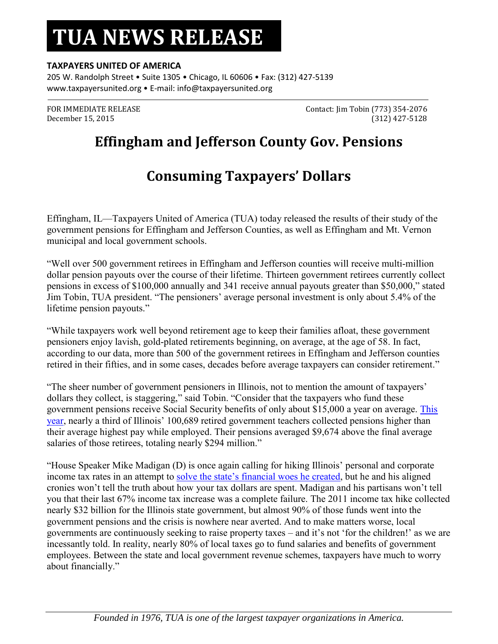# **TUA NEWS RELEASE**

#### **TAXPAYERS UNITED OF AMERICA**

205 W. Randolph Street • Suite 1305 • Chicago, IL 60606 • Fax: (312) 427-5139 www.taxpayersunited.org • E-mail: info@taxpayersunited.org

FOR IMMEDIATE RELEASE Contact: Jim Tobin (773) 354-2076 December 15, 2015 (312) 427-5128

### **Effingham and Jefferson County Gov. Pensions**

### **Consuming Taxpayers' Dollars**

Effingham, IL—Taxpayers United of America (TUA) today released the results of their study of the government pensions for Effingham and Jefferson Counties, as well as Effingham and Mt. Vernon municipal and local government schools.

"Well over 500 government retirees in Effingham and Jefferson counties will receive multi-million dollar pension payouts over the course of their lifetime. Thirteen government retirees currently collect pensions in excess of \$100,000 annually and 341 receive annual payouts greater than \$50,000," stated Jim Tobin, TUA president. "The pensioners' average personal investment is only about 5.4% of the lifetime pension payouts."

"While taxpayers work well beyond retirement age to keep their families afloat, these government pensioners enjoy lavish, gold-plated retirements beginning, on average, at the age of 58. In fact, according to our data, more than 500 of the government retirees in Effingham and Jefferson counties retired in their fifties, and in some cases, decades before average taxpayers can consider retirement."

"The sheer number of government pensioners in Illinois, not to mention the amount of taxpayers' dollars they collect, is staggering," said Tobin. "Consider that the taxpayers who fund these government pensions receive Social Security benefits of only about \$15,000 a year on average. [This](http://www.dailyherald.com/article/20151209/news/151208861/)  [year](http://www.dailyherald.com/article/20151209/news/151208861/), nearly a third of Illinois' 100,689 retired government teachers collected pensions higher than their average highest pay while employed. Their pensions averaged \$9,674 above the final average salaries of those retirees, totaling nearly \$294 million."

"House Speaker Mike Madigan (D) is once again calling for hiking Illinois' personal and corporate income tax rates in an attempt to [solve the state's financial woes](http://www.taxpayersunitedofamerica.org/wp-content/uploads/2015-IL-Top-200-Release1.pdf) he created, but he and his aligned cronies won't tell the truth about how your tax dollars are spent. Madigan and his partisans won't tell you that their last 67% income tax increase was a complete failure. The 2011 income tax hike collected nearly \$32 billion for the Illinois state government, but almost 90% of those funds went into the government pensions and the crisis is nowhere near averted. And to make matters worse, local governments are continuously seeking to raise property taxes – and it's not 'for the children!' as we are incessantly told. In reality, nearly 80% of local taxes go to fund salaries and benefits of government employees. Between the state and local government revenue schemes, taxpayers have much to worry about financially."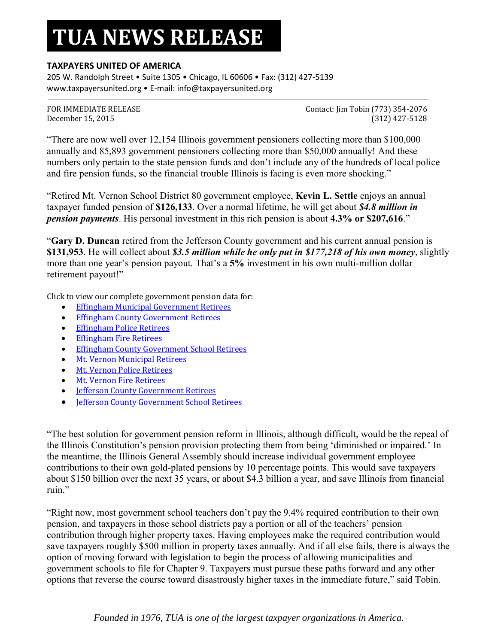# **TUA NEWS RELEASE**

#### **TAXPAYERS UNITED OF AMERICA**

205 W. Randolph Street • Suite 1305 • Chicago, IL 60606 • Fax: (312) 427-5139 www.taxpayersunited.org • E-mail: info@taxpayersunited.org

FOR IMMEDIATE RELEASE Contact: Jim Tobin (773) 354-2076 December 15, 2015 (312) 427-5128

"There are now well over 12,154 Illinois government pensioners collecting more than \$100,000 annually and 85,893 government pensioners collecting more than \$50,000 annually! And these numbers only pertain to the state pension funds and don't include any of the hundreds of local police and fire pension funds, so the financial trouble Illinois is facing is even more shocking."

"Retired Mt. Vernon School District 80 government employee, **Kevin L. Settle** enjoys an annual taxpayer funded pension of **\$126,133**. Over a normal lifetime, he will get about *\$4.8 million in pension payments*. His personal investment in this rich pension is about **4.3% or \$207,616**."

"**Gary D. Duncan** retired from the Jefferson County government and his current annual pension is **\$131,953**. He will collect about *\$3.5 million while he only put in \$177,218 of his own money*, slightly more than one year's pension payout. That's a **5%** investment in his own multi-million dollar retirement payout!"

Click to view our complete government pension data for:

- Effingham [Municipal Government Retirees](http://www.taxpayersunitedofamerica.org/wp-content/uploads/Effingham-Municipal-Gov-Retirees.pdf)
- Effingham [County Government Retirees](http://www.taxpayersunitedofamerica.org/wp-content/uploads/Effingham-County-Gov-Retirees.pdf)
- [Effingham Police Retirees](http://www.taxpayersunitedofamerica.org/wp-content/uploads/Effingham-Police-Retirees.pdf)
- **[Effingham Fire Retirees](http://www.taxpayersunitedofamerica.org/wp-content/uploads/Effingham-Firefighter-Retirees.pdf)**
- [Effingham County Government School](http://www.taxpayersunitedofamerica.org/wp-content/uploads/Effingham-County-Gov-Schools.pdf) Retirees
- [Mt. Vernon Municipal Retirees](http://www.taxpayersunitedofamerica.org/wp-content/uploads/Mt-Vernon-Municipal-Gov-Retirees.pdf)
- [Mt. Vernon Police Retirees](http://www.taxpayersunitedofamerica.org/wp-content/uploads/Mt-Vernon-Police-Retirees.pdf)
- [Mt. Vernon Fire Retirees](http://www.taxpayersunitedofamerica.org/wp-content/uploads/Mt-Vernon-Fire-Retirees.pdf)
- **• [Jefferson County Government Retirees](http://www.taxpayersunitedofamerica.org/wp-content/uploads/Jefferson-County-Gov-Retirees.pdf)**
- **•** [Jefferson County Government School Retirees](http://www.taxpayersunitedofamerica.org/wp-content/uploads/Jefferson-County-Gov-Schools.pdf)

"The best solution for government pension reform in Illinois, although difficult, would be the repeal of the Illinois Constitution's pension provision protecting them from being 'diminished or impaired.' In the meantime, the Illinois General Assembly should increase individual government employee contributions to their own gold-plated pensions by 10 percentage points. This would save taxpayers about \$150 billion over the next 35 years, or about \$4.3 billion a year, and save Illinois from financial ruin."

"Right now, most government school teachers don't pay the 9.4% required contribution to their own pension, and taxpayers in those school districts pay a portion or all of the teachers' pension contribution through higher property taxes. Having employees make the required contribution would save taxpayers roughly \$500 million in property taxes annually. And if all else fails, there is always the option of moving forward with legislation to begin the process of allowing municipalities and government schools to file for Chapter 9. Taxpayers must pursue these paths forward and any other options that reverse the course toward disastrously higher taxes in the immediate future," said Tobin.